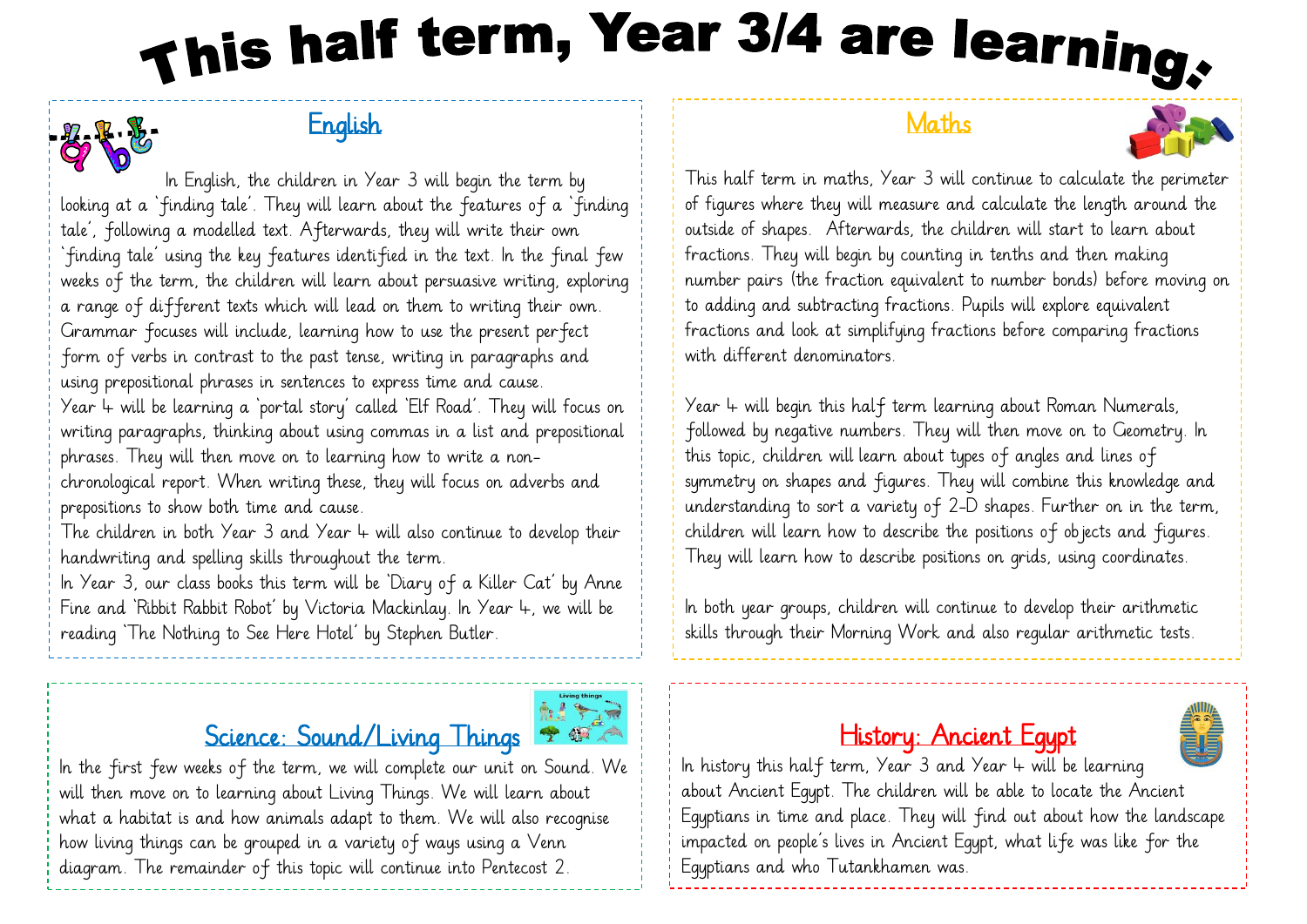# This half term, Year 3/4 are learning,

## **English**



phrases. They will then move on to learning how to write a nonchronological report. When writing these, they will focus on adverbs and prepositions to show both time and cause.

The children in both Year 3 and Year 4 will also continue to develop their handwriting and spelling skills throughout the term.

In Year 3, our class books this term will be 'Diary of a Killer Cat' by Anne Fine and 'Ribbit Rabbit Robot' by Victoria Mackinlay. In Year 4, we will be reading 'The Nothing to See Here Hotel' by Stephen Butler.

### Science: Sound/Living Things  $\bullet$



In the first few weeks of the term, we will complete our unit on Sound. We will then move on to learning about Living Things. We will learn about what a habitat is and how animals adapt to them. We will also recognise how living things can be grouped in a variety of ways using a Venn diagram. The remainder of this topic will continue into Pentecost 2.

#### **Maths**



This half term in maths, Year 3 will continue to calculate the perimeter of figures where they will measure and calculate the length around the outside of shapes. Afterwards, the children will start to learn about fractions. They will begin by counting in tenths and then making number pairs (the fraction equivalent to number bonds) before moving on to adding and subtracting fractions. Pupils will explore equivalent fractions and look at simplifying fractions before comparing fractions with different denominators.

Year  $4$  will begin this half term learning about Roman Numerals, followed by negative numbers. They will then move on to Geometry. In this topic, children will learn about types of angles and lines of symmetry on shapes and figures. They will combine this knowledge and understanding to sort a variety of 2-D shapes. Further on in the term, children will learn how to describe the positions of objects and figures. They will learn how to describe positions on grids, using coordinates.

In both year groups, children will continue to develop their arithmetic skills through their Morning Work and also regular arithmetic tests.

#### History: Ancient Egypt



In history this half term, Year  $3$  and Year  $4$  will be learning about Ancient Egypt. The children will be able to locate the Ancient Egyptians in time and place. They will find out about how the landscape impacted on people's lives in Ancient Egypt, what life was like for the Egyptians and who Tutankhamen was.

ľ